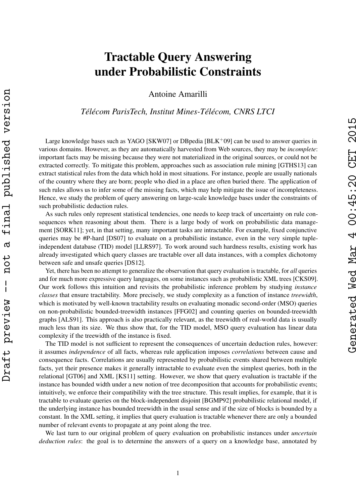## Tractable Query Answering under Probabilistic Constraints

Antoine Amarilli

*Télécom ParisTech, Institut Mines-Télécom, CNRS LTCI*

Large knowledge bases such as YAGO [\[SKW07\]](#page-1-0) or DBpedia [\[BLK](#page-1-1)+09] can be used to answer queries in various domains. However, as they are automatically harvested from Web sources, they may be *incomplete*: important facts may be missing because they were not materialized in the original sources, or could not be extracted correctly. To mitigate this problem, approaches such as association rule mining [\[GTHS13\]](#page-1-2) can extract statistical rules from the data which hold in most situations. For instance, people are usually nationals of the country where they are born; people who died in a place are often buried there. The application of such rules allows us to infer some of the missing facts, which may help mitigate the issue of incompleteness. Hence, we study the problem of query answering on large-scale knowledge bases under the constraints of such probabilistic deduction rules.

As such rules only represent statistical tendencies, one needs to keep track of uncertainty on rule consequences when reasoning about them. There is a large body of work on probabilistic data management [\[SORK11\]](#page-1-3); yet, in that setting, many important tasks are intractable. For example, fixed conjunctive queries may be #P-hard [\[DS07\]](#page-1-4) to evaluate on a probabilistic instance, even in the very simple tupleindependent database (TID) model [\[LLRS97\]](#page-1-5). To work around such hardness results, existing work has already investigated which query classes are tractable over all data instances, with a complex dichotomy between safe and unsafe queries [\[DS12\]](#page-1-6).

Generated Wed Mar 4 00:45:20 CET 2015

renerated Ned Mar

4 00:45:20 CET 2015

Yet, there has been no attempt to generalize the observation that query evaluation is tractable, for *all* queries and for much more expressive query languages, on some instances such as probabilistic XML trees [\[CKS09\]](#page-1-7). Our work follows this intuition and revisits the probabilistic inference problem by studying *instance classes* that ensure tractability. More precisely, we study complexity as a function of instance *treewidth*, which is motivated by well-known tractability results on evaluating monadic second-order (MSO) queries on non-probabilistic bounded-treewidth instances [\[FFG02\]](#page-1-8) and counting queries on bounded-treewidth graphs [\[ALS91\]](#page-1-9). This approach is also practically relevant, as the treewidth of real-world data is usually much less than its size. We thus show that, for the TID model, MSO query evaluation has linear data complexity if the treewidth of the instance is fixed.

The TID model is not sufficient to represent the consequences of uncertain deduction rules, however: it assumes *independence* of all facts, whereas rule application imposes *correlations* between cause and consequence facts. Correlations are usually represented by probabilistic events shared between multiple facts, yet their presence makes it generally intractable to evaluate even the simplest queries, both in the relational [\[GT06\]](#page-1-10) and XML [\[KS11\]](#page-1-11) setting. However, we show that query evaluation is tractable if the instance has bounded width under a new notion of tree decomposition that accounts for probabilistic events; intuitively, we enforce their compatibility with the tree structure. This result implies, for example, that it is tractable to evaluate queries on the block-independent disjoint [\[BGMP92\]](#page-1-12) probabilistic relational model, if the underlying instance has bounded treewidth in the usual sense and if the size of blocks is bounded by a constant. In the XML setting, it implies that query evaluation is tractable whenever there are only a bounded number of relevant events to propagate at any point along the tree.

We last turn to our original problem of query evaluation on probabilistic instances under *uncertain deduction rules*: the goal is to determine the answers of a query on a knowledge base, annotated by